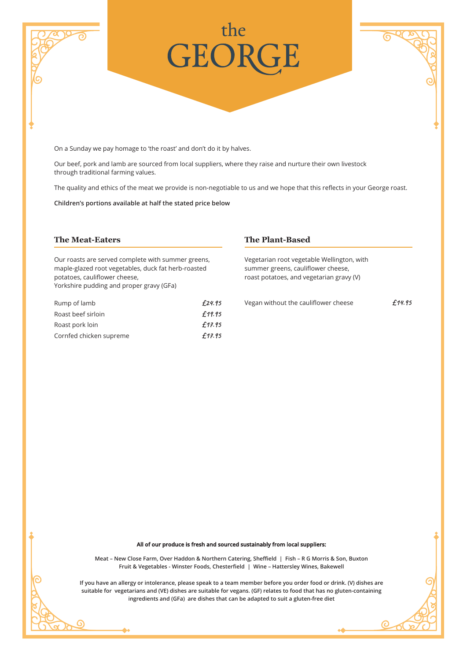

On a Sunday we pay homage to 'the roast' and don't do it by halves.

Our beef, pork and lamb are sourced from local suppliers, where they raise and nurture their own livestock through traditional farming values.

The quality and ethics of the meat we provide is non-negotiable to us and we hope that this reflects in your George roast.

**Children's portions available at half the stated price below**

## **The Meat-Eaters**

G

Our roasts are served complete with summer greens, maple-glazed root vegetables, duck fat herb-roasted potatoes, cauliflower cheese, Yorkshire pudding and proper gravy (GFa)

| Rump of lamb            | £24.95 |
|-------------------------|--------|
| Roast beef sirloin      | £19.95 |
| Roast pork loin         | £17.95 |
| Cornfed chicken supreme | £17.95 |

## **The Plant-Based**

Vegetarian root vegetable Wellington, with summer greens, cauliflower cheese, roast potatoes, and vegetarian gravy (V)

Vegan without the cauliflower cheese  $£14.95$ 

ര

## **All of our produce is fresh and sourced sustainably from local suppliers:**

**Meat – New Close Farm, Over Haddon & Northern Catering, Sheffield | Fish – R G Morris & Son, Buxton Fruit & Vegetables - Winster Foods, Chesterfield | Wine – Hattersley Wines, Bakewell**

**If you have an allergy or intolerance, please speak to a team member before you order food or drink. (V) dishes are suitable for vegetarians and (VE) dishes are suitable for vegans. (GF) relates to food that has no gluten-containing ingredients and (GFa) are dishes that can be adapted to suit a gluten-free diet**